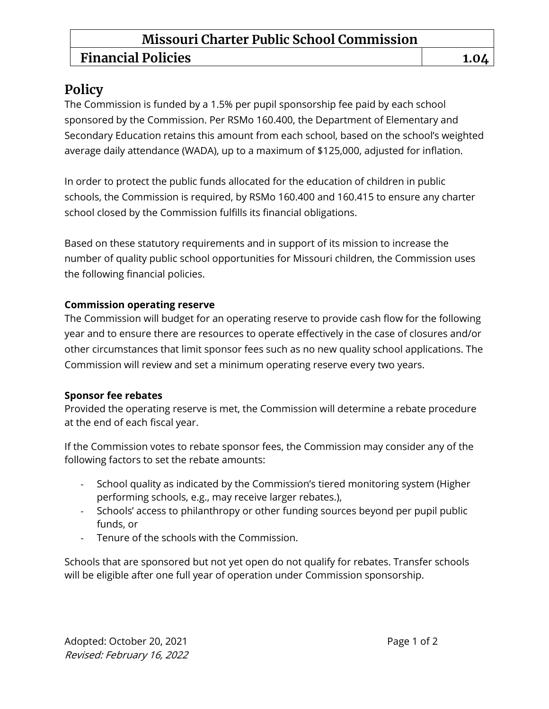## **Missouri Charter Public School Commission**

# **Financial Policies 1.04**

## **Policy**

The Commission is funded by a 1.5% per pupil sponsorship fee paid by each school sponsored by the Commission. Per RSMo 160.400, the Department of Elementary and Secondary Education retains this amount from each school, based on the school's weighted average daily attendance (WADA), up to a maximum of \$125,000, adjusted for inflation.

In order to protect the public funds allocated for the education of children in public schools, the Commission is required, by RSMo 160.400 and 160.415 to ensure any charter school closed by the Commission fulfills its financial obligations.

Based on these statutory requirements and in support of its mission to increase the number of quality public school opportunities for Missouri children, the Commission uses the following financial policies.

#### **Commission operating reserve**

The Commission will budget for an operating reserve to provide cash flow for the following year and to ensure there are resources to operate effectively in the case of closures and/or other circumstances that limit sponsor fees such as no new quality school applications. The Commission will review and set a minimum operating reserve every two years.

#### **Sponsor fee rebates**

Provided the operating reserve is met, the Commission will determine a rebate procedure at the end of each fiscal year.

If the Commission votes to rebate sponsor fees, the Commission may consider any of the following factors to set the rebate amounts:

- School quality as indicated by the Commission's tiered monitoring system (Higher performing schools, e.g., may receive larger rebates.),
- Schools' access to philanthropy or other funding sources beyond per pupil public funds, or
- Tenure of the schools with the Commission.

Schools that are sponsored but not yet open do not qualify for rebates. Transfer schools will be eligible after one full year of operation under Commission sponsorship.